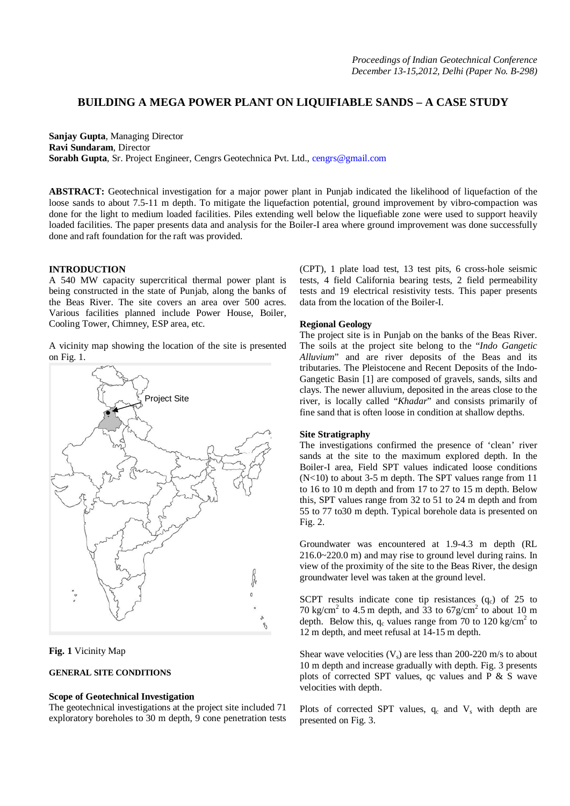# **BUILDING A MEGA POWER PLANT ON LIQUIFIABLE SANDS – A CASE STUDY**

**Sanjay Gupta**, Managing Director **Ravi Sundaram**, Director **Sorabh Gupta**, Sr. Project Engineer, Cengrs Geotechnica Pvt. Ltd., cengrs@gmail.com

**ABSTRACT:** Geotechnical investigation for a major power plant in Punjab indicated the likelihood of liquefaction of the loose sands to about 7.5-11 m depth. To mitigate the liquefaction potential, ground improvement by vibro-compaction was done for the light to medium loaded facilities. Piles extending well below the liquefiable zone were used to support heavily loaded facilities. The paper presents data and analysis for the Boiler-I area where ground improvement was done successfully done and raft foundation for the raft was provided.

## **INTRODUCTION**

A 540 MW capacity supercritical thermal power plant is being constructed in the state of Punjab, along the banks of the Beas River. The site covers an area over 500 acres. Various facilities planned include Power House, Boiler, Cooling Tower, Chimney, ESP area, etc.

A vicinity map showing the location of the site is presented on Fig. 1.



**Fig. 1** Vicinity Map

### **GENERAL SITE CONDITIONS**

## **Scope of Geotechnical Investigation**

The geotechnical investigations at the project site included 71 exploratory boreholes to 30 m depth, 9 cone penetration tests

(CPT), 1 plate load test, 13 test pits, 6 cross-hole seismic tests, 4 field California bearing tests, 2 field permeability tests and 19 electrical resistivity tests. This paper presents data from the location of the Boiler-I.

### **Regional Geology**

The project site is in Punjab on the banks of the Beas River. The soils at the project site belong to the "*Indo Gangetic Alluvium*" and are river deposits of the Beas and its tributaries. The Pleistocene and Recent Deposits of the Indo-Gangetic Basin [1] are composed of gravels, sands, silts and clays. The newer alluvium, deposited in the areas close to the river, is locally called "*Khadar*" and consists primarily of fine sand that is often loose in condition at shallow depths.

### **Site Stratigraphy**

The investigations confirmed the presence of 'clean' river sands at the site to the maximum explored depth. In the Boiler-I area, Field SPT values indicated loose conditions (N<10) to about 3-5 m depth. The SPT values range from 11 to 16 to 10 m depth and from 17 to 27 to 15 m depth. Below this, SPT values range from 32 to 51 to 24 m depth and from 55 to 77 to30 m depth. Typical borehole data is presented on Fig. 2.

Groundwater was encountered at 1.9-4.3 m depth (RL 216.0~220.0 m) and may rise to ground level during rains. In view of the proximity of the site to the Beas River, the design groundwater level was taken at the ground level.

SCPT results indicate cone tip resistances  $(q_c)$  of 25 to 70 kg/cm<sup>2</sup> to 4.5 m depth, and  $\overline{33}$  to  $\frac{67 \text{ g/cm}^2}{2}$  to about 10 m depth. Below this,  $q_c$  values range from 70 to 120 kg/cm<sup>2</sup> to 12 m depth, and meet refusal at 14-15 m depth.

Shear wave velocities  $(V_s)$  are less than 200-220 m/s to about 10 m depth and increase gradually with depth. Fig. 3 presents plots of corrected SPT values, qc values and  $P \& S$  wave velocities with depth.

Plots of corrected SPT values,  $q_c$  and  $V_s$  with depth are presented on Fig. 3.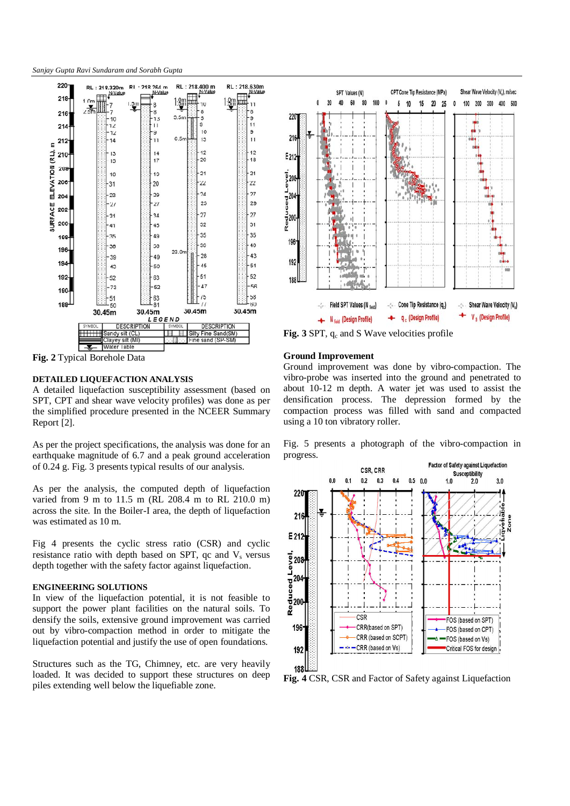*Sanjay Gupta Ravi Sundaram and Sorabh Gupta* 



**Fig. 2** Typical Borehole Data

# **DETAILED LIQUEFACTION ANALYSIS**

A detailed liquefaction susceptibility assessment (based on SPT, CPT and shear wave velocity profiles) was done as per the simplified procedure presented in the NCEER Summary Report [2].

As per the project specifications, the analysis was done for an earthquake magnitude of 6.7 and a peak ground acceleration of 0.24 g. Fig. 3 presents typical results of our analysis.

As per the analysis, the computed depth of liquefaction varied from 9 m to 11.5 m (RL 208.4 m to RL 210.0 m) across the site. In the Boiler-I area, the depth of liquefaction was estimated as 10 m.

Fig 4 presents the cyclic stress ratio (CSR) and cyclic resistance ratio with depth based on SPT, qc and  $V<sub>s</sub>$  versus depth together with the safety factor against liquefaction.

#### **ENGINEERING SOLUTIONS**

In view of the liquefaction potential, it is not feasible to support the power plant facilities on the natural soils. To densify the soils, extensive ground improvement was carried out by vibro-compaction method in order to mitigate the liquefaction potential and justify the use of open foundations.

Structures such as the TG, Chimney, etc. are very heavily loaded. It was decided to support these structures on deep piles extending well below the liquefiable zone.



**Fig. 3** SPT, q<sub>c</sub> and S Wave velocities profile

## **Ground Improvement**

Ground improvement was done by vibro-compaction. The vibro-probe was inserted into the ground and penetrated to about 10-12 m depth. A water jet was used to assist the densification process. The depression formed by the compaction process was filled with sand and compacted using a 10 ton vibratory roller.

Fig. 5 presents a photograph of the vibro-compaction in progress.



**Fig. 4** CSR, CSR and Factor of Safety against Liquefaction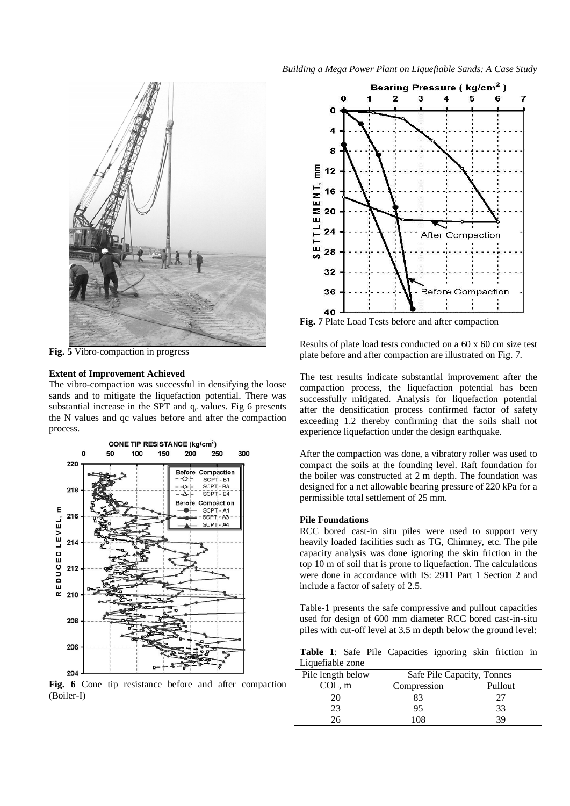

**Fig. 5** Vibro-compaction in progress

# **Extent of Improvement Achieved**

The vibro-compaction was successful in densifying the loose sands and to mitigate the liquefaction potential. There was substantial increase in the SPT and  $q_c$  values. Fig 6 presents the N values and qc values before and after the compaction process.



**Fig. 6** Cone tip resistance before and after compaction (Boiler-I)



**Fig. 7** Plate Load Tests before and after compaction

Results of plate load tests conducted on a 60 x 60 cm size test plate before and after compaction are illustrated on Fig. 7.

The test results indicate substantial improvement after the compaction process, the liquefaction potential has been successfully mitigated. Analysis for liquefaction potential after the densification process confirmed factor of safety exceeding 1.2 thereby confirming that the soils shall not experience liquefaction under the design earthquake.

After the compaction was done, a vibratory roller was used to compact the soils at the founding level. Raft foundation for the boiler was constructed at 2 m depth. The foundation was designed for a net allowable bearing pressure of 220 kPa for a permissible total settlement of 25 mm.

## **Pile Foundations**

RCC bored cast-in situ piles were used to support very heavily loaded facilities such as TG, Chimney, etc. The pile capacity analysis was done ignoring the skin friction in the top 10 m of soil that is prone to liquefaction. The calculations were done in accordance with IS: 2911 Part 1 Section 2 and include a factor of safety of 2.5.

Table-1 presents the safe compressive and pullout capacities used for design of 600 mm diameter RCC bored cast-in-situ piles with cut-off level at 3.5 m depth below the ground level:

**Table 1**: Safe Pile Capacities ignoring skin friction in Liquefiable zone

| Pile length below | Safe Pile Capacity, Tonnes |         |
|-------------------|----------------------------|---------|
| COL, m            | Compression                | Pullout |
| 20                | 83                         | 27      |
| 23                | 95                         | 33      |
| 26                | 108                        | 39      |
|                   |                            |         |